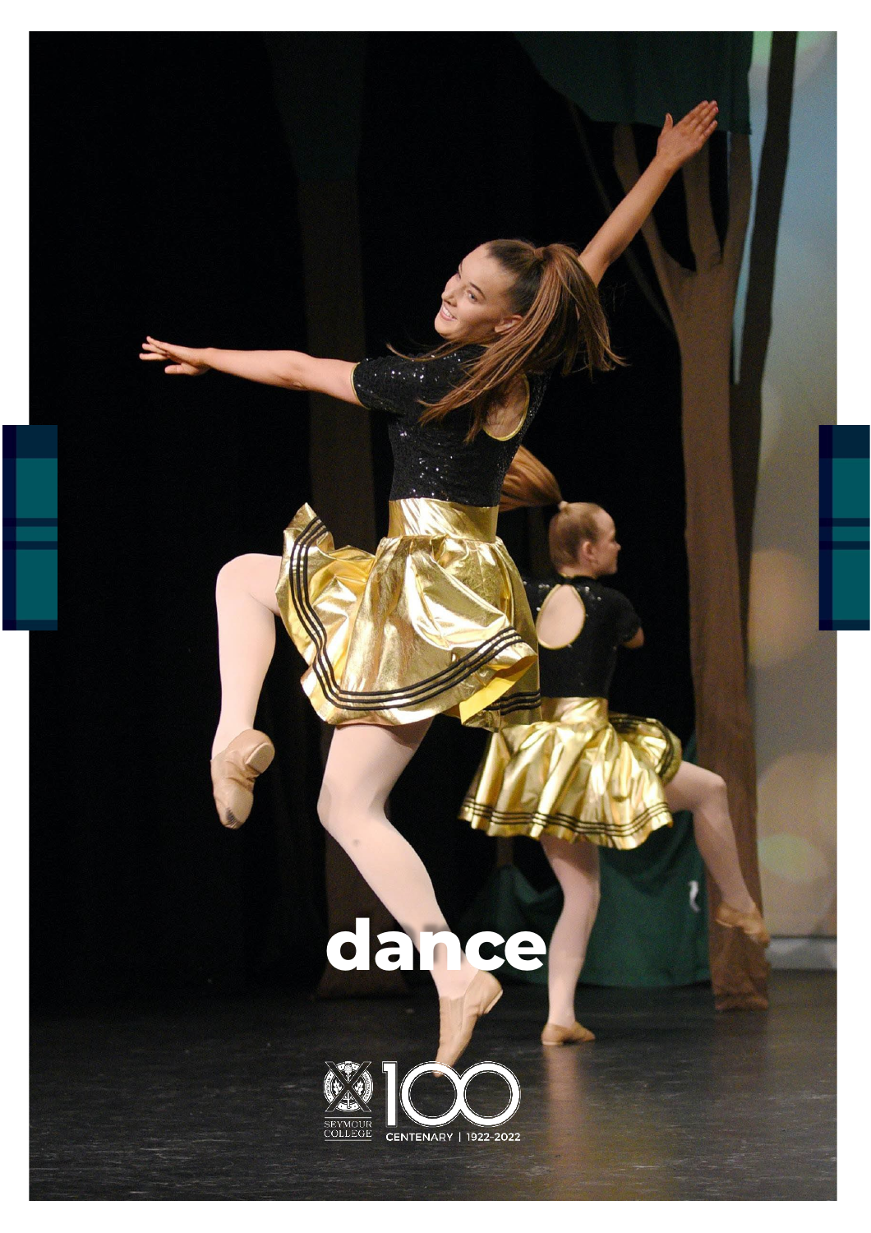# **dance**

 $\mathbf{r}$ 

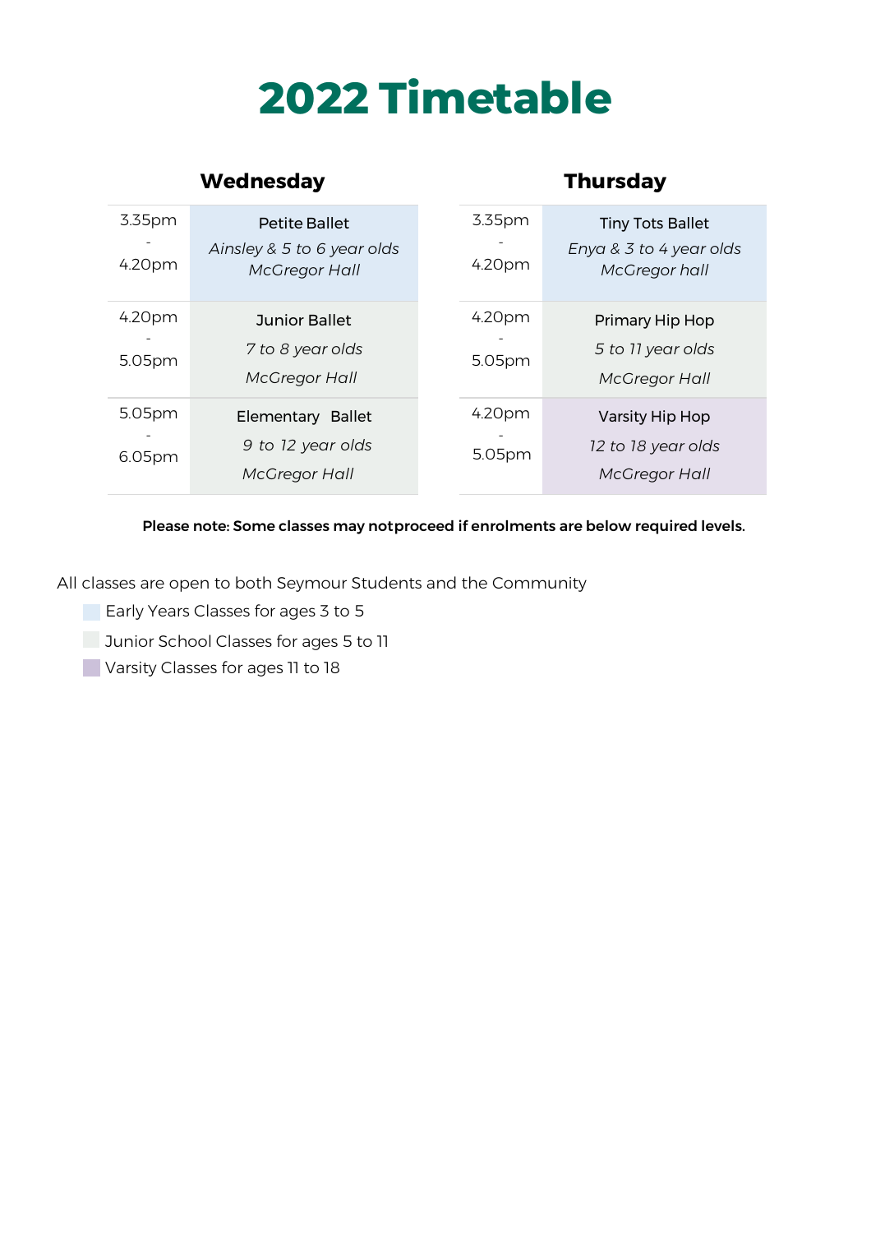# **2022 Timetable**

|                  | <b>Wednesday</b>                                                           |                  | <b>Thursday</b>                                                     |
|------------------|----------------------------------------------------------------------------|------------------|---------------------------------------------------------------------|
| 3.35pm<br>4.20pm | <b>Petite Ballet</b><br>Ainsley & 5 to 6 year olds<br><b>McGregor Hall</b> | 3.35pm<br>4.20pm | <b>Tiny Tots Ballet</b><br>Enya & 3 to 4 year olds<br>McGregor hall |
| 4.20pm<br>5.05pm | <b>Junior Ballet</b><br>7 to 8 year olds<br><b>McGregor Hall</b>           | 4.20pm<br>5.05pm | Primary Hip Hop<br>5 to 11 year olds<br><b>McGregor Hall</b>        |
| 5.05pm<br>6.05pm | Elementary Ballet<br>9 to 12 year olds<br><b>McGregor Hall</b>             | 4.20pm<br>5.05pm | Varsity Hip Hop<br>12 to 18 year olds<br><b>McGregor Hall</b>       |

#### Please note: Some classes may not proceed if enrolments are below required levels.

All classes are open to both Seymour Students and the Community

- **Early Years Classes for ages 3 to 5**
- **Junior School Classes for ages 5 to 11**
- **Varsity Classes for ages 11 to 18**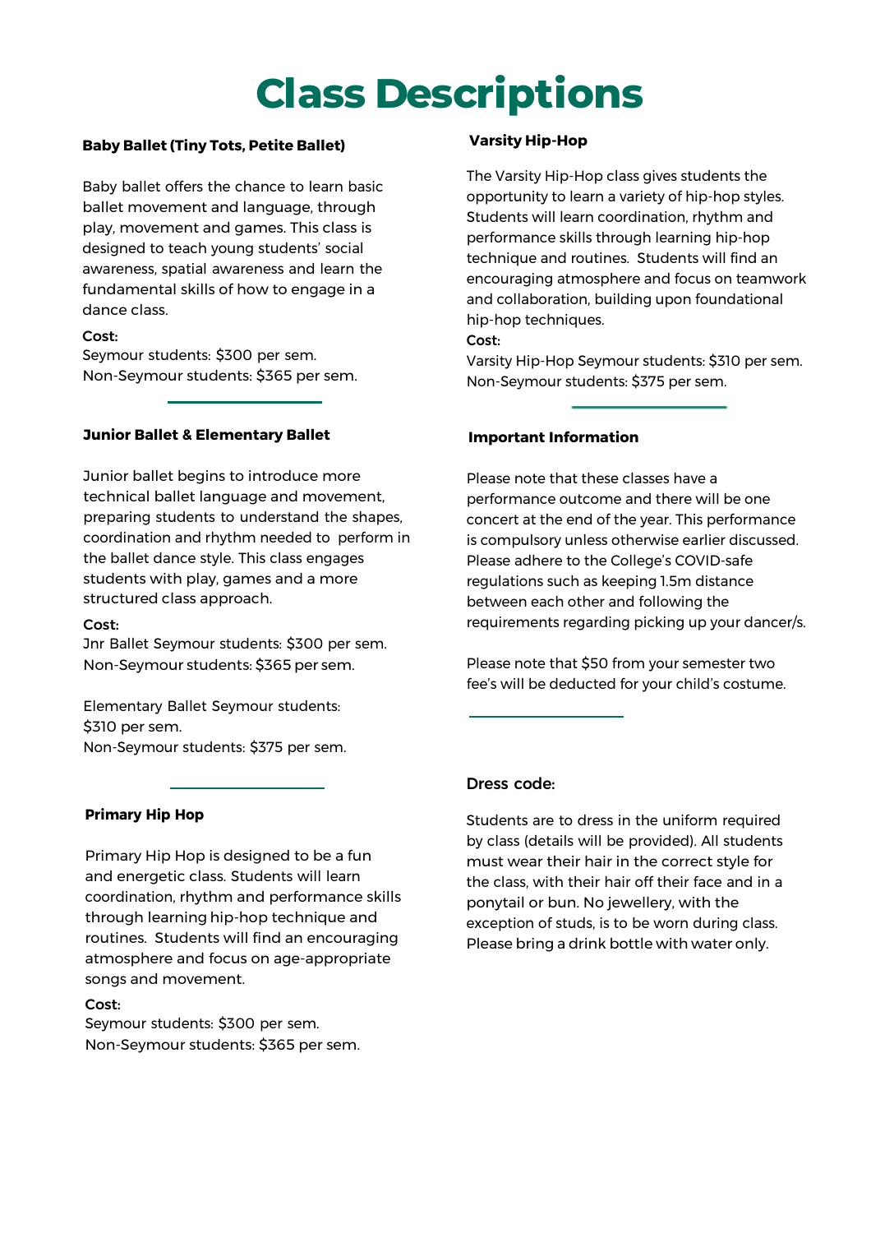## **Class Descriptions**

#### **Baby Ballet (Tiny Tots, Petite Ballet)**

Baby ballet offers the chance to learn basic ballet movement and language, through play, movement and games. This class is designed to teach young students' social awareness, spatial awareness and learn the fundamental skills of how to engage in a dance class.

#### Cost:

Seymour students: \$300 per sem. Non-Seymour students: \$365 per sem.

#### **Junior Ballet & Elementary Ballet**

Junior ballet begins to introduce more technical ballet language and movement, preparing students to understand the shapes, coordination and rhythm needed to perform in the ballet dance style. This class engages students with play, games and a more structured class approach.

#### Cost:

Jnr Ballet Seymour students: \$300 per sem. Non-Seymour students: \$365 per sem.

Elementary Ballet Seymour students: \$310 per sem. Non-Seymour students: \$375 per sem.

#### **Primary Hip Hop**

Primary Hip Hop is designed to be a fun and energetic class. Students will learn coordination, rhythm and performance skills through learning hip-hop technique and routines. Students will find an encouraging atmosphere and focus on age-appropriate songs and movement.

#### Cost:

Seymour students: \$300 per sem. Non-Seymour students: \$365 per sem.

#### **Varsity Hip-Hop**

The Varsity Hip-Hop class gives students the opportunity to learn a variety of hip-hop styles. Students will learn coordination, rhythm and performance skills through learning hip-hop technique and routines. Students will find an encouraging atmosphere and focus on teamwork and collaboration, building upon foundational hip-hop techniques.

Cost:

Varsity Hip-Hop Seymour students: \$310 per sem. Non-Seymour students: \$375 per sem.

#### **Important Information**

Please note that these classes have a performance outcome and there will be one concert at the end of the year. This performance is compulsory unless otherwise earlier discussed. Please adhere to the College's COVID-safe regulations such as keeping 1.5m distance between each other and following the requirements regarding picking up your dancer/s.

Please note that \$50 from your semester two fee's will be deducted for your child's costume.

#### Dress code:

Students are to dress in the uniform required by class (details will be provided). All students must wear their hair in the correct style for the class, with their hair off their face and in a ponytail or bun. No jewellery, with the exception of studs, is to be worn during class. Please bring a drink bottle with water only.